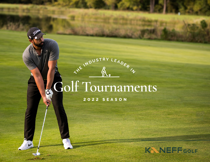# **Golf Tournaments**

**2 0 2 2 SEASON**

**THE INDUSTRY LEADER** 

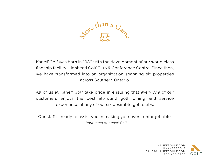

Kaneff Golf was born in 1989 with the development of our world class flagship facility, Lionhead Golf Club & Conference Centre. Since then, we have transformed into an organization spanning six properties across Southern Ontario.

All of us at Kaneff Golf take pride in ensuring that *every one* of our customers enjoys the best all-round golf, dining and service experience at any of our six desirable golf clubs.

Our staff is ready to assist you in making your event unforgettable. *– Your team at Kaneff Golf*

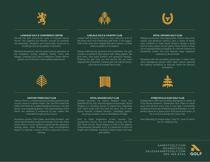





#### **LIONHEAD GOLF & CONFERENCE CENTRE**

Carved into 520 spectacular acres of inspired natural terrain, The Legends and Masters courses at Lionhead are exquisitely designed and impeccably groomed to challenge and excite golfers of all levels.

Blending beautifully with the grand natural splendour of the meadows, ravines, wetlands, forests, rivers, and foliage, Lionhead Golf Club & Conference Centre offer its guests one of Ontario's finest golfing experiences.

#### **CARLISLE GOLF & COUNTRY CLUB**

Carlisle Golf & Country Club is a cozy collection of 27 of the finest and most interesting golf holes in the region. With three nines and multiple tee deck options, Carlisle caters to golfers of all abilities.

Always meticulously groomed and maintained, the golf course is a parkland style layout with rolling greens, tall pine trees, ohio sand bunkers and generous fairways. Entering the golf club you feel almost like you have stepped into a Southern Carolina golf club with its classic pine tree and wooden fence look.

#### **ROYAL ONTARIO GOLF CLUB**

Rolling countryside, nine large ponds, mature trees, both narrow and generous fairways, plus a variety of green sizes combine to make Royal Ontario's design a good test for every aspect of your game. Royal Ontario is built on an exquisite piece of property. As a former home to an Equestrian Centre, the land features large meadows outlined by dense forest.

Designed with the prevailing landscape in mind, holes were strategically placed within open spaces allowing the existing woodlands to naturally frame the fairways and greens.



#### **CENTURY PINES GOLF CLUB**

Century Pines is a mature and picturesque parkland style course, home to majestic Maple, Oak, and Pine trees that fortify and frame its sculpted bentgrass fairways, lush tee decks, and undulating greens. The natural beauty of the forest and wetlands is enhanced by two creeks that meander throughout the course.

Numerous ponds, Ohio Valley sand-filled bunkers, and other natural hazards await errant strokes. Four sets of tee blocks allow a novice golfer to appreciate the generous landing areas, while challenging more accomplished players to execute a variety of shots using every club in the bag.

#### **ROYAL NIAGARA GOLF CLUB**

Nestled between the historic Welland Canal, the beautiful Bruce Trail, and the Niagara Escarpment, Royal Niagara is a stunning course to experience. Extending over 7,000 yards from the back tee deck, the 27 hole layout features sculpted fairways, undulating greens, cavernous bunkers, and an abundance of water.

Host to three impressive 9-hole courses; The Escarpment Course, The Iron Bridge Course, and The Old Canal Course, Royal Niagara is built to the highest championship standards. Each 9 is balanced in terms of length and challenge, resulting in three unique nine hole golf options.



#### **STREETSVILLE GLEN GOLF CLUB**

Established in 1967 and recently redesigned to utilize all of its natural elements, Streetsville Glen offers an urban oasis that will test every club in your bag. Conveniently located on the border of Mississauga & Brampton, it is the perfect place for a quick lunch-time round with peers, or for an active evening with close ones.

Now featuring 12 unique holes: 2 par 5's, 4 par 4's and 6 par 3's. Walking only.



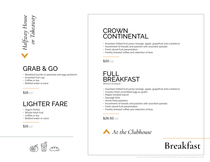# Halfway House<br>or Takeaway *Halfway House or Takeaway*

### GRAB & GO

- Breakfast burrito or peameal and egg sandwich
- Assorted fruit cup
- Coffee or tea
- Bottled water or juice

\$16 *pp*

### LIGHTER FARE

- Yogurt Parfait
- Whole fresh fruit
- Coffee or tea
- Bottled water or Juice

\$15 *pp*



### CROWN **CONTINENTAL**

- Assorted chilled fruit juices (orange, apple, grapefruit and cranberry)
- Assortment of breads and pastries with assorted spreads
- Fresh sliced fruit presentation
- Freshly brewed coffee and selection of teas



### FULL BREAKFAST

*(Minimum 60 people)*

- Assorted chilled fruit juices (orange, apple, grapefruit and cranberry)
- Country fresh scrambled egg au gratin
- Maple smoked bacon
- Sausage links
- Home fried potatoes
- Assortment of breads and pastries with assorted spreads
- Fresh sliced fruit presentation
- Freshly brewed coffee and selection of teas

\$26.50 *pp*



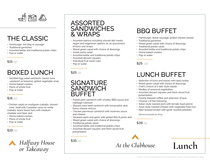

### THE CLASSIC

- Hamburger, hot dog or sausage
- Traditional garnishes
- Assorted kettle and traditional potato chips
- Pop or water

\$15 *pp*

### BOXED LUNCH

- Devilled Egg salad sandwich, classic tuna sandwich or balsamic grilled vegetable wrap
- Home baked cookies
- Piece of whole fruit
- Pop or water

#### \$16 *pp*

- Chicken salad on multigrain ciabatta, shaved roast beef with Canadian swiss on white ciabatta, black forest ham with medium cheddar and Dijon aioli
- Home baked cookies
- Piece of whole fruit
- Pop or water

\$19 *pp*



#### ASSORTED **SANDWICHES** & WRAPS

- Assorted options including shaved deli meats, vegan and vegetarian options on an assortment of buns and wraps
- Mixed green salad with choice of dressings
- Greek pasta salad
- Assorted kettle and traditional potato chips
- Assorted dessert squares
- Individual fruit salad cups
- Pop or water

\$25 *pp*

#### **SIGNATURE SANDWICH** BUFFET

- Pulled pork sandwich with smokey BBQ sauce and cabbage coleslaw
- Shaved roast beef sandwich with horseradish aioli, Swiss cheese and jus
- Chicken parmesan sandwich with marinara sauce and cheese
- Sauteed rapini and garlic with grilled feta & pesto aioli
- Mixed green salad with choice of dressings
- Traditional potato salad
- Assorted kettle and traditional potato chips
- Assorted dessert squares and fresh sliced fruit presentation

### BBQ BUFFET

- Hamburger, Italian sausage, grilled chicken breast
- Traditional garnishes
- Mixed green salad with choice of dressings
- Traditional potato salad
- Assorted kettle and traditional potato chips
- Home baked cookies
- Pop or water

\$25 *pp*

### LUNCH BUFFET

- Selection of buns and loaves with dairy butter
- Mixed green salad with choice of dressings
- Chef's choice of 3 deli-style salads
- Medley of seasonal vegetables
- Assorted dessert squares and fresh sliced fruit presentation
- Freshly brewed coffee and selection of teas
- Choose 1 of the following:
- Italian style roasted pork with tomato basil penne
- Asian style roasted chicken with vegetable fried rice
- Beer braised brisket with garlic roasted potatoes

*Add second protein for \$4 pp*

\$39 *pp*

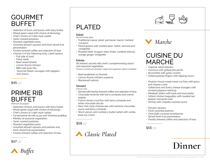### GOURMET BUFFET

- Selection of buns and loaves with dairy butter
- Mixed green salad with choice of dressings
- Chef's choice of 3 deli-style salads
- Garlic roasted potatoes
- Roasted vegetable pasta
- Assorted dessert squares and fresh sliced fruit presentation
- Freshly brewed coffee and selection of teas
- Choose 3 of the following (only 1 beef option):
	- Full side of trout
	- Flank steak
	- Beef raised brisket
	- Lemon thyme chicken
	- BBQ side pork ribs
	- Gourmet Italian sausages with peppers and onions

\$45 *pp*

### PRIME RIB BUFFET

*(Minimum 50 people)*

- Selection of buns and loaves with dairy butter
- Mixed green salad with choice of dressings
- Chef's choice of 3 deli-style salads
- Carved prime rib with au jus and Yorkshire pudding
- Medley of seasonal vegetables
- Garlic roasted potatoes
- Roasted vegetable pasta
- Assorted dessert squares and pastries and
- fresh sliced fruit presentation
- 



### PLATED

#### **Salad**

- *(Served Family Style)*
- Traditional caesar salad, parmesan, bacon, herbed croutons
- Mixed greens with roasted pear, radish, almond and vinaigrette
- Roasted beet, arugula, baby frisée, candied walnuts, orange ginger vinaigrette

#### **Entrée**

All entrées served with chef's complementing starch and seasonal vegetables

*(Choose 2 proteins for all plates. Vegan and vegetarian options available)*

- Beef tenderloin or Shortrib
- Lemon thyme chicken supreme
- Blackened salmon

#### **Dessert**

*(Choose One)*

- Served with freshly brewed coffee and selection of teas
- Chocolate brownie with berry compote and crème anglais
- French lemon curd flan with berry compote and white chocolate drizzle
- New York style cheesecake with extreme chocolate sauce and berry compote
- Warm pecan and cranberry butter tartlet with vanilla bean ice cream

#### \$58 *pp*







### CUISINE DU MARCHÉ

- Caprese salad skewers
- Hummus with grilled pita points
- Bruschetta with garlic crostini
- Grilled polenta fingers with dipping sauce
- Poutine: house-made hand-cut fries with gravy and cheese curds
- Grilled brie and Swiss cheese triangles with smoked jalapeno ketchup
- Meatball sliders with basil and mozzarella
- Grilled chicken baguettes with roasted red pepper and pesto aioli
- Shrimp with chipotle cocktail sauce
- Dessert squares
- Fresh assorted pastries
- Chocolate covered strawberries
- Sliced fresh fruit presentation
- Freshly brewed coffee and selection of teas

#### \$55 *pp*

## \$<sup>57</sup> *pp* **Dinner**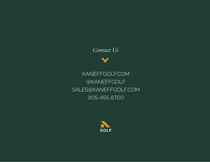### *Contact Us*

KANEFFGOLF.COM @KANEFFGOLF SALES@KANEFFGOLF.COM 905-455-8700